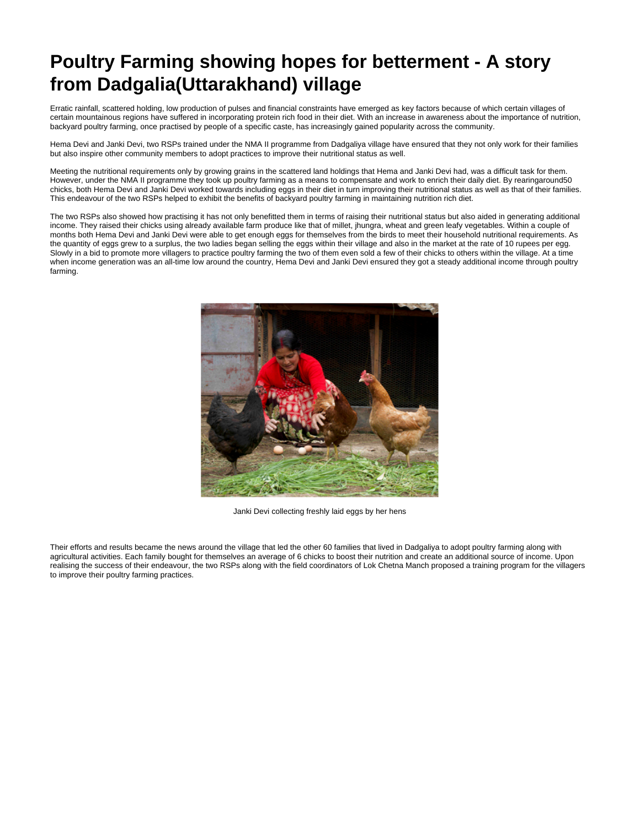## **Poultry Farming showing hopes for betterment - A story from Dadgalia(Uttarakhand) village**

Erratic rainfall, scattered holding, low production of pulses and financial constraints have emerged as key factors because of which certain villages of certain mountainous regions have suffered in incorporating protein rich food in their diet. With an increase in awareness about the importance of nutrition, backyard poultry farming, once practised by people of a specific caste, has increasingly gained popularity across the community.

Hema Devi and Janki Devi, two RSPs trained under the NMA II programme from Dadgaliya village have ensured that they not only work for their families but also inspire other community members to adopt practices to improve their nutritional status as well.

Meeting the nutritional requirements only by growing grains in the scattered land holdings that Hema and Janki Devi had, was a difficult task for them. However, under the NMA II programme they took up poultry farming as a means to compensate and work to enrich their daily diet. By rearingaround50 chicks, both Hema Devi and Janki Devi worked towards including eggs in their diet in turn improving their nutritional status as well as that of their families. This endeavour of the two RSPs helped to exhibit the benefits of backyard poultry farming in maintaining nutrition rich diet.

The two RSPs also showed how practising it has not only benefitted them in terms of raising their nutritional status but also aided in generating additional income. They raised their chicks using already available farm produce like that of millet, jhungra, wheat and green leafy vegetables. Within a couple of months both Hema Devi and Janki Devi were able to get enough eggs for themselves from the birds to meet their household nutritional requirements. As the quantity of eggs grew to a surplus, the two ladies began selling the eggs within their village and also in the market at the rate of 10 rupees per egg. Slowly in a bid to promote more villagers to practice poultry farming the two of them even sold a few of their chicks to others within the village. At a time when income generation was an all-time low around the country, Hema Devi and Janki Devi ensured they got a steady additional income through poultry farming.



Janki Devi collecting freshly laid eggs by her hens

Their efforts and results became the news around the village that led the other 60 families that lived in Dadgaliya to adopt poultry farming along with agricultural activities. Each family bought for themselves an average of 6 chicks to boost their nutrition and create an additional source of income. Upon realising the success of their endeavour, the two RSPs along with the field coordinators of Lok Chetna Manch proposed a training program for the villagers to improve their poultry farming practices.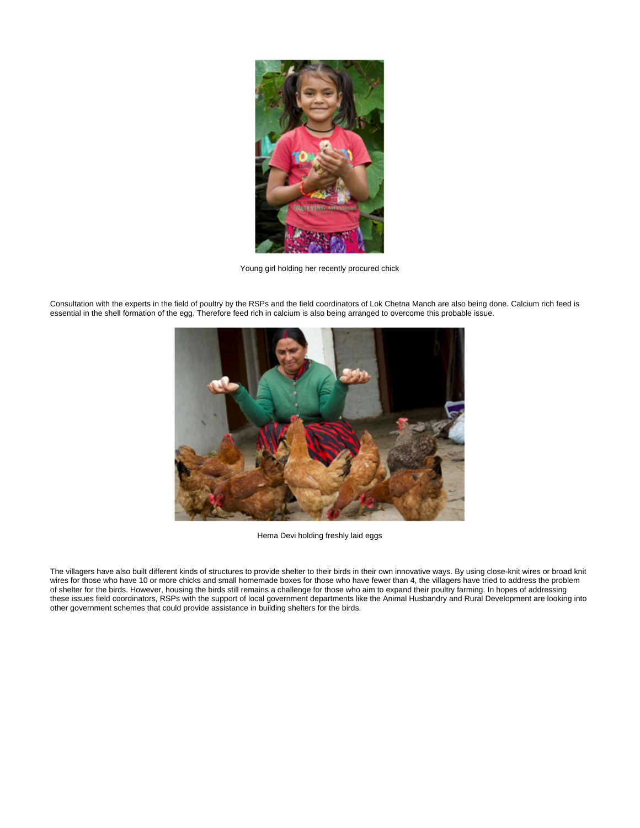

Young girl holding her recently procured chick

Consultation with the experts in the field of poultry by the RSPs and the field coordinators of Lok Chetna Manch are also being done. Calcium rich feed is essential in the shell formation of the egg. Therefore feed rich in calcium is also being arranged to overcome this probable issue.



Hema Devi holding freshly laid eggs

The villagers have also built different kinds of structures to provide shelter to their birds in their own innovative ways. By using close-knit wires or broad knit wires for those who have 10 or more chicks and small homemade boxes for those who have fewer than 4, the villagers have tried to address the problem of shelter for the birds. However, housing the birds still remains a challenge for those who aim to expand their poultry farming. In hopes of addressing these issues field coordinators, RSPs with the support of local government departments like the Animal Husbandry and Rural Development are looking into other government schemes that could provide assistance in building shelters for the birds.